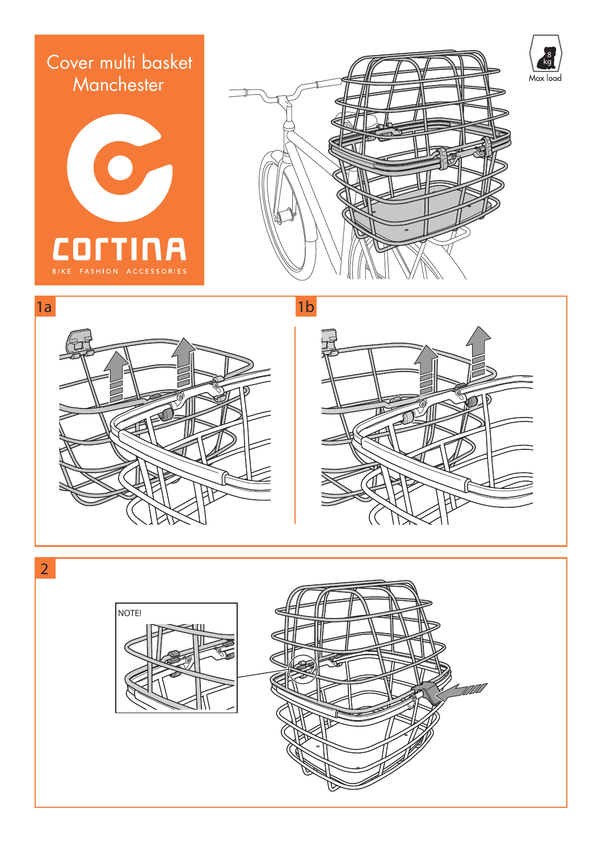